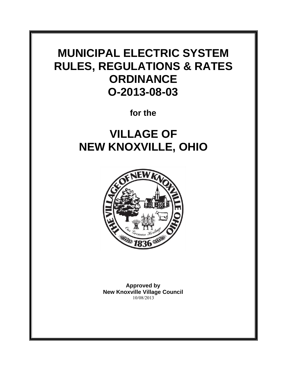# **MUNICIPAL ELECTRIC SYSTEM RULES, REGULATIONS & RATES ORDINANCE O-2013-08-03**

**for the**

# **VILLAGE OF NEW KNOXVILLE, OHIO**



**Approved by New Knoxville Village Council** 10/08/2013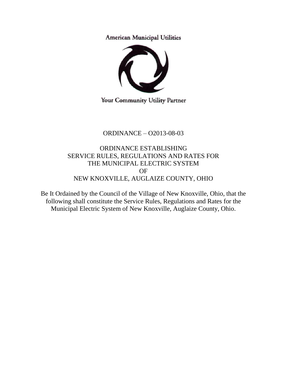**American Municipal Utilities** 



Your Community Utility Partner

### ORDINANCE – O2013-08-03

ORDINANCE ESTABLISHING SERVICE RULES, REGULATIONS AND RATES FOR THE MUNICIPAL ELECTRIC SYSTEM OF NEW KNOXVILLE, AUGLAIZE COUNTY, OHIO

Be It Ordained by the Council of the Village of New Knoxville, Ohio, that the following shall constitute the Service Rules, Regulations and Rates for the Municipal Electric System of New Knoxville, Auglaize County, Ohio.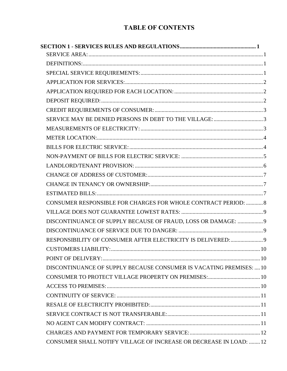### **TABLE OF CONTENTS**

| CONSUMER RESPONSIBLE FOR CHARGES FOR WHOLE CONTRACT PERIOD:  8      |  |
|---------------------------------------------------------------------|--|
|                                                                     |  |
| DISCONTINUANCE OF SUPPLY BECAUSE OF FRAUD, LOSS OR DAMAGE:  9       |  |
|                                                                     |  |
|                                                                     |  |
|                                                                     |  |
|                                                                     |  |
| DISCONTINUANCE OF SUPPLY BECAUSE CONSUMER IS VACATING PREMISES:  10 |  |
|                                                                     |  |
|                                                                     |  |
|                                                                     |  |
|                                                                     |  |
|                                                                     |  |
|                                                                     |  |
|                                                                     |  |
| CONSUMER SHALL NOTIFY VILLAGE OF INCREASE OR DECREASE IN LOAD:  12  |  |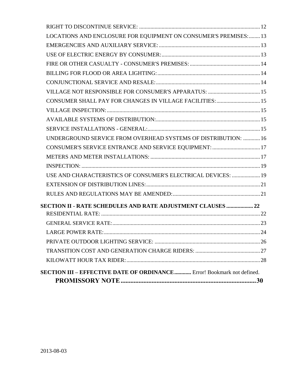| LOCATIONS AND ENCLOSURE FOR EQUIPMENT ON CONSUMER'S PREMISES:  13             |  |
|-------------------------------------------------------------------------------|--|
|                                                                               |  |
|                                                                               |  |
|                                                                               |  |
|                                                                               |  |
|                                                                               |  |
|                                                                               |  |
| CONSUMER SHALL PAY FOR CHANGES IN VILLAGE FACILITIES:  15                     |  |
|                                                                               |  |
|                                                                               |  |
|                                                                               |  |
| UNDERGROUND SERVICE FROM OVERHEAD SYSTEMS OF DISTRIBUTION:  16                |  |
| CONSUMER'S SERVICE ENTRANCE AND SERVICE EQUIPMENT:  17                        |  |
|                                                                               |  |
|                                                                               |  |
| USE AND CHARACTERISTICS OF CONSUMER'S ELECTRICAL DEVICES:  19                 |  |
|                                                                               |  |
|                                                                               |  |
| <b>SECTION II - RATE SCHEDULES AND RATE ADJUSTMENT CLAUSES  22</b>            |  |
|                                                                               |  |
|                                                                               |  |
|                                                                               |  |
|                                                                               |  |
|                                                                               |  |
|                                                                               |  |
| <b>SECTION III – EFFECTIVE DATE OF ORDINANCE</b> Error! Bookmark not defined. |  |
|                                                                               |  |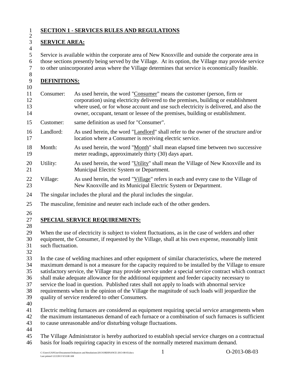$\frac{2}{3}$ 

#### <span id="page-4-0"></span>**SECTION 1 - SERVICES RULES AND REGULATIONS**

### <span id="page-4-1"></span>**SERVICE AREA:**

 Service is available within the corporate area of New Knoxville and outside the corporate area in those sections presently being served by the Village. At its option, the Village may provide service to other unincorporated areas where the Village determines that service is economically feasible.

#### <span id="page-4-2"></span>**DEFINITIONS:**

- Consumer: As used herein, the word "Consumer" means the customer (person, firm or corporation) using electricity delivered to the premises, building or establishment where used, or for whose account and use such electricity is delivered, and also the owner, occupant, tenant or lessee of the premises, building or establishment.
- Customer: same definition as used for "Consumer".
- Landlord: As used herein, the word "Landlord" shall refer to the owner of the structure and/or 17 location where a Consumer is receiving electric service.
- Month: As used herein, the word "Month" shall mean elapsed time between two successive meter readings, approximately thirty (30) days apart.
- 20 Utility: As used herein, the word "Utility" shall mean the Village of New Knoxville and its Municipal Electric System or Department.
- Village: As used herein, the word "Village" refers in each and every case to the Village of New Knoxville and its Municipal Electric System or Department.
- The singular includes the plural and the plural includes the singular.
- The masculine, feminine and neuter each include each of the other genders.
- 

### <span id="page-4-3"></span>**SPECIAL SERVICE REQUIREMENTS:**

 When the use of electricity is subject to violent fluctuations, as in the case of welders and other equipment, the Consumer, if requested by the Village, shall at his own expense, reasonably limit such fluctuation.

 In the case of welding machines and other equipment of similar characteristics, where the metered maximum demand is not a measure for the capacity required to be installed by the Village to ensure satisfactory service, the Village may provide service under a special service contract which contract shall make adequate allowance for the additional equipment and feeder capacity necessary to service the load in question. Published rates shall not apply to loads with abnormal service requirements when in the opinion of the Village the magnitude of such loads will jeopardize the quality of service rendered to other Consumers.

 Electric melting furnaces are considered as equipment requiring special service arrangements when the maximum instantaneous demand of each furnace or a combination of such furnaces is sufficient

- to cause unreasonable and/or disturbing voltage fluctuations.
- 

 The Village Administrator is hereby authorized to establish special service charges on a contractual basis for loads requiring capacity in excess of the normally metered maximum demand.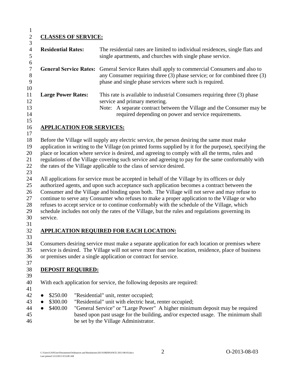### <span id="page-5-0"></span>**CLASSES OF SERVICE:**

| <b>Residential Rates:</b>                     | The residential rates are limited to individual residences, single flats and<br>single apartments, and churches with single phase service.                                                                                                                                                                                                                                                                                                                                                                                                                                                         |
|-----------------------------------------------|----------------------------------------------------------------------------------------------------------------------------------------------------------------------------------------------------------------------------------------------------------------------------------------------------------------------------------------------------------------------------------------------------------------------------------------------------------------------------------------------------------------------------------------------------------------------------------------------------|
| <b>General Service Rates:</b>                 | General Service Rates shall apply to commercial Consumers and also to<br>any Consumer requiring three (3) phase service; or for combined three (3)<br>phase and single phase services where such is required.                                                                                                                                                                                                                                                                                                                                                                                      |
| <b>Large Power Rates:</b>                     | This rate is available to industrial Consumers requiring three (3) phase<br>service and primary metering.<br>Note: A separate contract between the Village and the Consumer may be<br>required depending on power and service requirements.                                                                                                                                                                                                                                                                                                                                                        |
| <b>APPLICATION FOR SERVICES:</b>              |                                                                                                                                                                                                                                                                                                                                                                                                                                                                                                                                                                                                    |
|                                               | Before the Village will supply any electric service, the person desiring the same must make<br>application in writing to the Village (on printed forms supplied by it for the purpose), specifying the<br>place or location where service is desired, and agreeing to comply with all the terms, rules and<br>regulations of the Village covering such service and agreeing to pay for the same conformably with<br>the rates of the Village applicable to the class of service desired.                                                                                                           |
| service.                                      | All applications for service must be accepted in behalf of the Village by its officers or duly<br>authorized agents, and upon such acceptance such application becomes a contract between the<br>Consumer and the Village and binding upon both. The Village will not serve and may refuse to<br>continue to serve any Consumer who refuses to make a proper application to the Village or who<br>refuses to accept service or to continue conformably with the schedule of the Village, which<br>schedule includes not only the rates of the Village, but the rules and regulations governing its |
|                                               | <b>APPLICATION REQUIRED FOR EACH LOCATION:</b>                                                                                                                                                                                                                                                                                                                                                                                                                                                                                                                                                     |
|                                               | Consumers desiring service must make a separate application for each location or premises where<br>service is desired. The Village will not serve more than one location, residence, place of business<br>or premises under a single application or contract for service.                                                                                                                                                                                                                                                                                                                          |
| <b>DEPOSIT REQUIRED:</b>                      |                                                                                                                                                                                                                                                                                                                                                                                                                                                                                                                                                                                                    |
|                                               | With each application for service, the following deposits are required:                                                                                                                                                                                                                                                                                                                                                                                                                                                                                                                            |
| \$250.00<br>\$300.00<br>\$400.00<br>$\bullet$ | "Residential" unit, renter occupied;<br>"Residential" unit with electric heat, renter occupied;<br>"General Service" or "Large Power" A higher minimum deposit may be required<br>based upon past usage for the building, and/or expected usage. The minimum shall<br>be set by the Village Administrator.                                                                                                                                                                                                                                                                                         |

<span id="page-5-2"></span><span id="page-5-1"></span>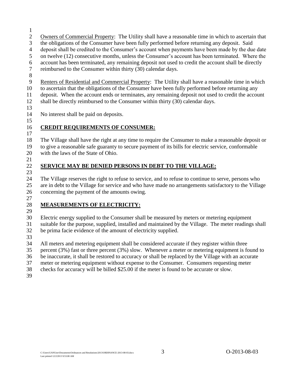- 
- Owners of Commercial Property: The Utility shall have a reasonable time in which to ascertain that
- the obligations of the Consumer have been fully performed before returning any deposit. Said
- deposit shall be credited to the Consumer's account when payments have been made by the due date
- on twelve (12) consecutive months, unless the Consumer's account has been terminated. Where the
- account has been terminated, any remaining deposit not used to credit the account shall be directly
- reimbursed to the Consumer within thirty (30) calendar days.
- 
- Renters of Residential and Commercial Property: The Utility shall have a reasonable time in which
- to ascertain that the obligations of the Consumer have been fully performed before returning any
- deposit. When the account ends or terminates, any remaining deposit not used to credit the account
- shall be directly reimbursed to the Consumer within thirty (30) calendar days.
- 

No interest shall be paid on deposits.

#### <span id="page-6-0"></span> **CREDIT REQUIREMENTS OF CONSUMER:**

 The Village shall have the right at any time to require the Consumer to make a reasonable deposit or to give a reasonable safe guaranty to secure payment of its bills for electric service, conformable with the laws of the State of Ohio.

- 
- 

### <span id="page-6-1"></span>**SERVICE MAY BE DENIED PERSONS IN DEBT TO THE VILLAGE:**

 The Village reserves the right to refuse to service, and to refuse to continue to serve, persons who are in debt to the Village for service and who have made no arrangements satisfactory to the Village concerning the payment of the amounts owing.

### 

### <span id="page-6-2"></span>**MEASUREMENTS OF ELECTRICITY:**

- Electric energy supplied to the Consumer shall be measured by meters or metering equipment suitable for the purpose, supplied, installed and maintained by the Village. The meter readings shall be prima facie evidence of the amount of electricity supplied.
- 

All meters and metering equipment shall be considered accurate if they register within three

percent (3%) fast or three percent (3%) slow. Whenever a meter or metering equipment is found to

be inaccurate, it shall be restored to accuracy or shall be replaced by the Village with an accurate

meter or metering equipment without expense to the Consumer. Consumers requesting meter

checks for accuracy will be billed \$25.00 if the meter is found to be accurate or slow.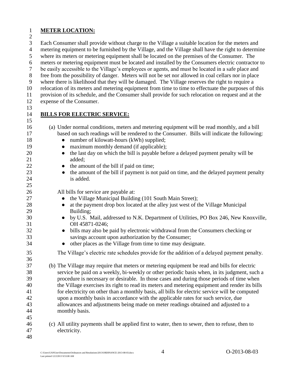#### <span id="page-7-0"></span>**METER LOCATION:**

Each Consumer shall provide without charge to the Village a suitable location for the meters and

metering equipment to be furnished by the Village, and the Village shall have the right to determine

where its meters or metering equipment shall be located on the premises of the Consumer. The

meters or metering equipment must be located and installed by the Consumers electric contractor to

be easily accessible to the Village's employees or agents, and must be located in a safe place and

 free from the possibility of danger. Meters will not be set nor allowed in coal cellars nor in place where there is likelihood that they will be damaged. The Village reserves the right to require a

relocation of its meters and metering equipment from time to time to effectuate the purposes of this

provision of its schedule, and the Consumer shall provide for such relocation on request and at the

- expense of the Consumer.
- 

### <span id="page-7-1"></span>**BILLS FOR ELECTRIC SERVICE:**

 (a) Under normal conditions, meters and metering equipment will be read monthly, and a bill based on such readings will be rendered to the Consumer. Bills will indicate the following: 18 • number of kilowatt-hours (kWh) supplied; 19 • maximum monthly demand (if applicable); 20 • the last day on which the bill is payable before a delayed payment penalty will be 21 added: **•** the amount of the bill if paid on time; **•** the amount of the bill if payment is not paid on time, and the delayed payment penalty is added. All bills for service are payable at: **•** the Village Municipal Building (101 South Main Street); 28 • at the payment drop box located at the alley just west of the Village Municipal Building; ● by U.S. Mail, addressed to N.K. Department of Utilities, PO Box 246, New Knoxville, OH 45871-0246; ● bills may also be paid by electronic withdrawal from the Consumers checking or savings account upon authorization by the Consumer; 34 • other places as the Village from time to time may designate. The Village's electric rate schedules provide for the addition of a delayed payment penalty. (b) The Village may require that meters or metering equipment be read and bills for electric service be paid on a weekly, bi-weekly or other periodic basis when, in its judgment, such a procedure is necessary or desirable. In those cases and during those periods of time when the Village exercises its right to read its meters and metering equipment and render its bills for electricity on other than a monthly basis, all bills for electric service will be computed upon a monthly basis in accordance with the applicable rates for such service, due allowances and adjustments being made on meter readings obtained and adjusted to a monthly basis. (c) All utility payments shall be applied first to water, then to sewer, then to refuse, then to electricity.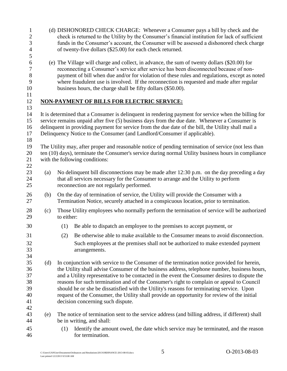<span id="page-8-0"></span>

| $\mathbf{1}$     |                                                                                                     |                                                                                       | (d) DISHONORED CHECK CHARGE: Whenever a Consumer pays a bill by check and the                        |  |  |
|------------------|-----------------------------------------------------------------------------------------------------|---------------------------------------------------------------------------------------|------------------------------------------------------------------------------------------------------|--|--|
| $\mathbf{2}$     |                                                                                                     |                                                                                       | check is returned to the Utility by the Consumer's financial institution for lack of sufficient      |  |  |
| $\mathfrak{Z}$   |                                                                                                     |                                                                                       | funds in the Consumer's account, the Consumer will be assessed a dishonored check charge             |  |  |
| $\overline{4}$   |                                                                                                     |                                                                                       | of twenty-five dollars (\$25.00) for each check returned.                                            |  |  |
| 5                |                                                                                                     |                                                                                       |                                                                                                      |  |  |
| $\boldsymbol{6}$ |                                                                                                     |                                                                                       | (e) The Village will charge and collect, in advance, the sum of twenty dollars (\$20.00) for         |  |  |
| $\boldsymbol{7}$ |                                                                                                     | reconnecting a Consumer's service after service has been disconnected because of non- |                                                                                                      |  |  |
| $8\,$            |                                                                                                     |                                                                                       | payment of bill when due and/or for violation of these rules and regulations, except as noted        |  |  |
| 9                |                                                                                                     |                                                                                       | where fraudulent use is involved. If the reconnection is requested and made after regular            |  |  |
| 10               |                                                                                                     |                                                                                       | business hours, the charge shall be fifty dollars (\$50.00).                                         |  |  |
| 11               |                                                                                                     |                                                                                       |                                                                                                      |  |  |
| 12               |                                                                                                     |                                                                                       | NON-PAYMENT OF BILLS FOR ELECTRIC SERVICE:                                                           |  |  |
| 13               |                                                                                                     |                                                                                       |                                                                                                      |  |  |
| 14               |                                                                                                     |                                                                                       | It is determined that a Consumer is delinquent in rendering payment for service when the billing for |  |  |
| 15               | service remains unpaid after five (5) business days from the due date. Whenever a Consumer is       |                                                                                       |                                                                                                      |  |  |
| 16               | delinquent in providing payment for service from the due date of the bill, the Utility shall mail a |                                                                                       |                                                                                                      |  |  |
| 17               |                                                                                                     |                                                                                       | Delinquency Notice to the Consumer (and Landlord/Consumer if applicable).                            |  |  |
| 18               |                                                                                                     |                                                                                       |                                                                                                      |  |  |
| 19               |                                                                                                     |                                                                                       | The Utility may, after proper and reasonable notice of pending termination of service (not less than |  |  |
| 20               |                                                                                                     |                                                                                       | ten (10) days), terminate the Consumer's service during normal Utility business hours in compliance  |  |  |
| 21               |                                                                                                     |                                                                                       | with the following conditions:                                                                       |  |  |
| 22               |                                                                                                     |                                                                                       |                                                                                                      |  |  |
| 23               | (a)                                                                                                 |                                                                                       | No delinquent bill disconnections may be made after 12:30 p.m. on the day preceding a day            |  |  |
| 24               |                                                                                                     |                                                                                       | that all services necessary for the Consumer to arrange and the Utility to perform                   |  |  |
| 25               |                                                                                                     |                                                                                       | reconnection are not regularly performed.                                                            |  |  |
|                  |                                                                                                     |                                                                                       |                                                                                                      |  |  |
| 26               | (b)                                                                                                 |                                                                                       | On the day of termination of service, the Utility will provide the Consumer with a                   |  |  |
| 27               |                                                                                                     |                                                                                       | Termination Notice, securely attached in a conspicuous location, prior to termination.               |  |  |
| 28               | (c)                                                                                                 |                                                                                       | Those Utility employees who normally perform the termination of service will be authorized           |  |  |
| 29               |                                                                                                     | to either:                                                                            |                                                                                                      |  |  |
| 30               |                                                                                                     |                                                                                       |                                                                                                      |  |  |
|                  |                                                                                                     | (1)                                                                                   | Be able to dispatch an employee to the premises to accept payment, or                                |  |  |
| 31               |                                                                                                     | (2)                                                                                   | Be otherwise able to make available to the Consumer means to avoid disconnection.                    |  |  |
| 32               |                                                                                                     |                                                                                       | Such employees at the premises shall not be authorized to make extended payment                      |  |  |
| 33               |                                                                                                     |                                                                                       | arrangements.                                                                                        |  |  |
| 34               |                                                                                                     |                                                                                       |                                                                                                      |  |  |
| 35               | (d)                                                                                                 |                                                                                       | In conjunction with service to the Consumer of the termination notice provided for herein,           |  |  |
| 36               |                                                                                                     |                                                                                       | the Utility shall advise Consumer of the business address, telephone number, business hours,         |  |  |
| 37               |                                                                                                     |                                                                                       | and a Utility representative to be contacted in the event the Consumer desires to dispute the        |  |  |
| 38               |                                                                                                     |                                                                                       | reasons for such termination and of the Consumer's right to complain or appeal to Council            |  |  |
| 39               |                                                                                                     |                                                                                       | should he or she be dissatisfied with the Utility's reasons for terminating service. Upon            |  |  |
| 40               |                                                                                                     |                                                                                       | request of the Consumer, the Utility shall provide an opportunity for review of the initial          |  |  |
| 41               |                                                                                                     |                                                                                       | decision concerning such dispute.                                                                    |  |  |
| 42               |                                                                                                     |                                                                                       |                                                                                                      |  |  |
| 43               | (e)                                                                                                 |                                                                                       | The notice of termination sent to the service address (and billing address, if different) shall      |  |  |
| 44               |                                                                                                     |                                                                                       | be in writing, and shall:                                                                            |  |  |
|                  |                                                                                                     |                                                                                       |                                                                                                      |  |  |
| 45               |                                                                                                     | (1)                                                                                   | Identify the amount owed, the date which service may be terminated, and the reason                   |  |  |
| 46               |                                                                                                     |                                                                                       | for termination.                                                                                     |  |  |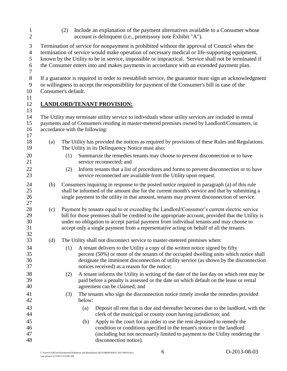(2) Include an explanation of the payment alternatives available to a Consumer whose account is delinquent (i.e., promissory note Exhibit "A").

Termination of service for nonpayment is prohibited without the approval of Council when the

termination of service would make operation of necessary medical or life-supporting equipment,

known by the Utility to be in service, impossible or impractical. Service shall not be terminated if

the Consumer enters into and makes payments in accordance with an extended payment plan.

If a guarantor is required in order to reestablish service, the guarantor must sign an acknowledgment

 or willingness to accept the responsibility for payment of the Consumer's bill in case of the Consumer's default.

#### <span id="page-9-0"></span> **LANDLORD/TENANT PROVISION:**

 The Utility may terminate utility service to individuals whose utility services are included in rental payments and of Consumers residing in master-metered premises owned by Landlord/Consumers, in accordance with the following: (a) The Utility has provided the notices as required by provisions of these Rules and Regulations. The Utility in its Delinquency Notice must also: (1) Summarize the remedies tenants may choose to prevent disconnection or to have 21 service reconnected: and (2) Inform tenants that a list of procedures and forms to prevent disconnection or to have service reconnected are available from the Utility upon request. (b) Consumers inquiring in response to the posted notice required in paragraph (a) of this rule shall be informed of the amount due for the current month's service and that by submitting a single payment to the utility in that amount, tenants may prevent disconnection of service. 28 (c) Payment by tenants equal to or exceeding the Landlord/Consumer's current electric service<br>29 bill for those premises shall be credited to the appropriate account provided that the Utility bill for those premises shall be credited to the appropriate account, provided that the Utility is under no obligation to accept partial payment from individual tenants and may choose to accept only a single payment from a representative acting on behalf of all the tenants. (d) The Utility shall not disconnect service to master-metered premises when: (1) A tenant delivers to the Utility a copy of the written notice signed by fifty percent (50%) or more of the tenants of the occupied dwelling units which notice shall designate the imminent disconnection of utility service (as shown by the disconnection notices received) as a reason for the notice; (2) A tenant informs the Utility in writing of the date of the last day on which rent may be paid before a penalty is assessed or the date on which default on the lease or rental agreement can be claimed; and (3) The tenants who sign the disconnection notice timely invoke the remedies provided below: (a) Deposit all rent that is due and thereafter becomes due to the landlord, with the clerk of the municipal or county court having jurisdiction; and (b) Apply to the court for an order to use the rent deposited to remedy the condition or conditions specified in the tenant's notice to the landlord (including but not necessarily limited to payment to the Utility rendering the disconnection notice).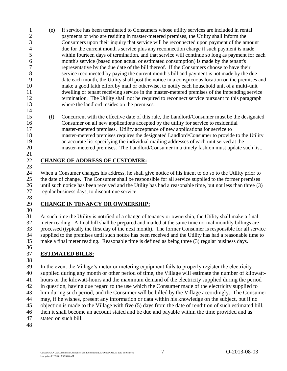- (e) If service has been terminated to Consumers whose utility services are included in rental payments or who are residing in master-metered premises, the Utility shall inform the Consumers upon their inquiry that service will be reconnected upon payment of the amount due for the current month's service plus any reconnection charge if such payment is made within fourteen days of termination, and that service will continue so long as payment for each month's service (based upon actual or estimated consumption) is made by the tenant's representative by the due date of the bill thereof. If the Consumers choose to have their service reconnected by paying the current month's bill and payment is not made by the due date each month, the Utility shall post the notice in a conspicuous location on the premises and make a good faith effort by mail or otherwise, to notify each household unit of a multi-unit dwelling or tenant receiving service in the master-metered premises of the impending service termination. The Utility shall not be required to reconnect service pursuant to this paragraph where the landlord resides on the premises.
- (f) Concurrent with the effective date of this rule, the Landlord/Consumer must be the designated Consumer on all new applications accepted by the utility for service to residential master-metered premises. Utility acceptance of new applications for service to master-metered premises requires the designated Landlord/Consumer to provide to the Utility an accurate list specifying the individual mailing addresses of each unit served at the master-metered premises. The Landlord/Consumer in a timely fashion must update such list.

#### <span id="page-10-0"></span> **CHANGE OF ADDRESS OF CUSTOMER:**

 When a Consumer changes his address, he shall give notice of his intent to do so to the Utility prior to the date of change. The Consumer shall be responsible for all service supplied to the former premises until such notice has been received and the Utility has had a reasonable time, but not less than three (3) regular business days, to discontinue service.

#### <span id="page-10-1"></span>**CHANGE IN TENANCY OR OWNERSHIP:**

 At such time the Utility is notified of a change of tenancy or ownership, the Utility shall make a final meter reading. A final bill shall be prepared and mailed at the same time normal monthly billings are processed (typically the first day of the next month). The former Consumer is responsible for all service supplied to the premises until such notice has been received and the Utility has had a reasonable time to make a final meter reading. Reasonable time is defined as being three (3) regular business days. 

- <span id="page-10-2"></span>**ESTIMATED BILLS:**
- 

 In the event the Village's meter or metering equipment fails to properly register the electricity supplied during any month or other period of time, the Village will estimate the number of kilowatt- hours or the kilowatt-hours and the maximum demand of the electricity supplied during the period in question, having due regard to the use which the Consumer made of the electricity supplied to him during such period, and the Consumer will be billed by the Village accordingly. The Consumer may, if he wishes, present any information or data within his knowledge on the subject, but if no objection is made to the Village with five (5) days from the date of rendition of such estimated bill, then it shall become an account stated and be due and payable within the time provided and as stated on such bill.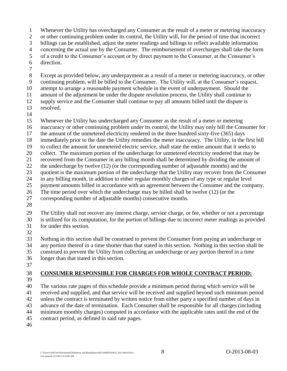Whenever the Utility has overcharged any Consumer as the result of a meter or metering inaccuracy

or other continuing problem under its control, the Utility will, for the period of time that incorrect

billings can be established, adjust the meter readings and billings to reflect available information

concerning the actual use by the Consumer. The reimbursement of overcharges shall take the form

of a credit to the Consumer's account or by direct payment to the Consumer, at the Consumer's

- direction.
- 

Except as provided below, any underpayment as a result of a meter or metering inaccuracy, or other

continuing problem, will be billed to the Consumer. The Utility will, at the Consumer's request,

attempt to arrange a reasonable payment schedule in the event of underpayment. Should the

amount of the adjustment be under the dispute resolution process, the Utility shall continue to

 supply service and the Consumer shall continue to pay all amounts billed until the dispute is resolved.

Whenever the Utility has undercharged any Consumer as the result of a meter or metering

inaccuracy or other continuing problem under its control, the Utility may only bill the Consumer for

- the amount of the unmetered electricity rendered in the three hundred sixty-five (365) days
- immediately prior to the date the Utility remedies the meter inaccuracy. The Utility, in the first bill
- to collect the amount for unmetered electric service, shall state the entire amount that it seeks to
- collect. The maximum portion of the undercharge for unmetered electricity rendered that may be
- recovered from the Consumer in any billing month shall be determined by dividing the amount of

the undercharge by twelve (12) (or the corresponding number of adjustable months) and the

- quotient is the maximum portion of the undercharge that the Utility may recover from the Consumer
- in any billing month, in addition to either regular monthly charges of any type or regular level
- payment amounts billed in accordance with an agreement between the Consumer and the company.
- The time period over which the undercharge may be billed shall be twelve (12) (or the
- corresponding number of adjustable months) consecutive months.
- 

 The Utility shall not recover any interest charge, service charge, or fee, whether or not a percentage is utilized for its computation, for the portion of billings due to incorrect meter readings as provided

- for under this section.
- 

 Nothing in this section shall be construed to prevent the Consumer from paying an undercharge or any portion thereof in a time shorter than that stated in this section. Nothing in this section shall be construed to prevent the Utility from collecting an undercharge or any portion thereof in a time longer than that stated in this section.

<span id="page-11-0"></span>**CONSUMER RESPONSIBLE FOR CHARGES FOR WHOLE CONTRACT PERIOD:**

- The various rate pages of this schedule provide a minimum period during which service will be received and supplied, and that service will be received and supplied beyond such minimum period unless the contract is terminated by written notice from either party a specified number of days in advance of the date of termination. Each Consumer shall be responsible for all charges (including minimum monthly charges) computed in accordance with the applicable rates until the end of the
- contract period, as defined in said rate pages.
-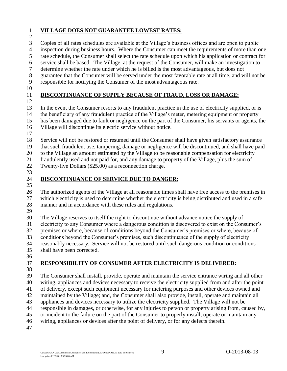#### <span id="page-12-0"></span>**VILLAGE DOES NOT GUARANTEE LOWEST RATES:**

Copies of all rates schedules are available at the Village's business offices and are open to public

inspection during business hours. Where the Consumer can meet the requirements of more than one

rate schedule, the Consumer shall select the rate schedule upon which his application or contract for

service shall be based. The Village, at the request of the Consumer, will make an investigation to

determine whether the rate under which he is billed is the most advantageous, but does not

guarantee that the Consumer will be served under the most favorable rate at all time, and will not be

responsible for notifying the Consumer of the most advantageous rate.

### <span id="page-12-1"></span>**DISCONTINUANCE OF SUPPLY BECAUSE OF FRAUD, LOSS OR DAMAGE:**

In the event the Consumer resorts to any fraudulent practice in the use of electricity supplied, or is

 the beneficiary of any fraudulent practice of the Village's meter, metering equipment or property has been damaged due to fault or negligence on the part of the Consumer, his servants or agents, the Village will discontinue its electric service without notice.

Service will not be restored or resumed until the Consumer shall have given satisfactory assurance

that such fraudulent use, tampering, damage or negligence will be discontinued, and shall have paid

to the Village an amount estimated by the Village to be reasonable compensation for electricity

 fraudulently used and not paid for, and any damage to property of the Village, plus the sum of Twenty-five Dollars (\$25.00) as a reconnection charge.

### <span id="page-12-2"></span>**DISCONTINUANCE OF SERVICE DUE TO DANGER:**

 The authorized agents of the Village at all reasonable times shall have free access to the premises in which electricity is used to determine whether the electricity is being distributed and used in a safe manner and in accordance with these rules and regulations.

 The Village reserves to itself the right to discontinue without advance notice the supply of electricity to any Consumer where a dangerous condition is discovered to exist on the Consumer's premises or where, because of conditions beyond the Consumer's premises or where, because of conditions beyond the Consumer's premises, such discontinuance of the supply of electricity reasonably necessary. Service will not be restored until such dangerous condition or conditions

shall have been corrected.

### <span id="page-12-3"></span>**RESPONSIBILITY OF CONSUMER AFTER ELECTRICITY IS DELIVERED:**

 The Consumer shall install, provide, operate and maintain the service entrance wiring and all other wiring, appliances and devices necessary to receive the electricity supplied from and after the point of delivery, except such equipment necessary for metering purposes and other devices owned and maintained by the Village; and, the Consumer shall also provide, install, operate and maintain all appliances and devices necessary to utilize the electricity supplied. The Village will not be responsible in damages, or otherwise, for any injuries to person or property arising from, caused by, or incident to the failure on the part of the Consumer to properly install, operate or maintain any wiring, appliances or devices after the point of delivery, or for any defects therein.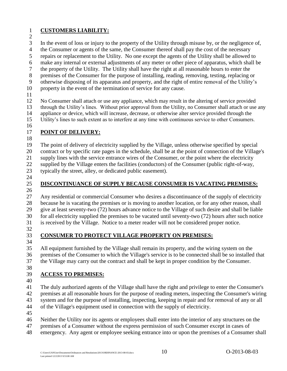#### <span id="page-13-0"></span>**CUSTOMERS LIABILITY:**

In the event of loss or injury to the property of the Utility through misuse by, or the negligence of,

the Consumer or agents of the same, the Consumer thereof shall pay the cost of the necessary

repairs or replacement to the Utility. No one except the agents of the Utility shall be allowed to

- make any internal or external adjustments of any meter or other piece of apparatus, which shall be
- the property of the Utility. The Utility shall have the right at all reasonable hours to enter the
- premises of the Consumer for the purpose of installing, reading, removing, testing, replacing or
- otherwise disposing of its apparatus and property, and the right of entire removal of the Utility's
- property in the event of the termination of service for any cause.
- 

 No Consumer shall attach or use any appliance, which may result in the altering of service provided through the Utility's lines. Without prior approval from the Utility, no Consumer shall attach or use any appliance or device, which will increase, decrease, or otherwise alter service provided through the Utility's lines to such extent as to interfere at any time with continuous service to other Consumers.

### <span id="page-13-1"></span>**POINT OF DELIVERY:**

 The point of delivery of electricity supplied by the Village, unless otherwise specified by special contract or by specific rate pages in the schedule, shall be at the point of connection of the Village's

supply lines with the service entrance wires of the Consumer, or the point where the electricity

supplied by the Village enters the facilities (conductors) of the Consumer (public right-of-way,

typically the street, alley, or dedicated public easement).

- 
- 

### <span id="page-13-2"></span>**DISCONTINUANCE OF SUPPLY BECAUSE CONSUMER IS VACATING PREMISES:**

 Any residential or commercial Consumer who desires a discontinuance of the supply of electricity because he is vacating the premises or is moving to another location, or for any other reason, shall give at least seventy-two (72) hours advance notice to the Village of such desire and shall be liable for all electricity supplied the premises to be vacated until seventy-two (72) hours after such notice is received by the Village. Notice to a meter reader will not be considered proper notice.

### <span id="page-13-3"></span>**CONSUMER TO PROTECT VILLAGE PROPERTY ON PREMISES:**

 All equipment furnished by the Village shall remain its property, and the wiring system on the premises of the Consumer to which the Village's service is to be connected shall be so installed that the Village may carry out the contract and shall be kept in proper condition by the Consumer.

### <span id="page-13-4"></span>**ACCESS TO PREMISES:**

 The duly authorized agents of the Village shall have the right and privilege to enter the Consumer's premises at all reasonable hours for the purpose of reading meters, inspecting the Consumer's wiring system and for the purpose of installing, inspecting, keeping in repair and for removal of any or all of the Village's equipment used in connection with the supply of electricity.

- 
- Neither the Utility nor its agents or employees shall enter into the interior of any structures on the
- premises of a Consumer without the express permission of such Consumer except in cases of
- emergency. Any agent or employee seeking entrance into or upon the premises of a Consumer shall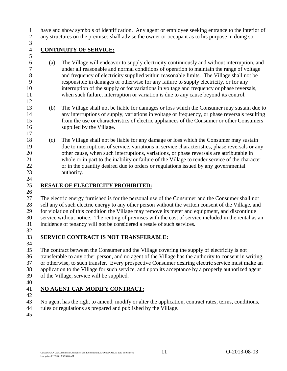have and show symbols of identification. Any agent or employee seeking entrance to the interior of

any structures on the premises shall advise the owner or occupant as to his purpose in doing so.

## 

### <span id="page-14-0"></span>**CONTINUITY OF SERVICE:**

- (a) The Village will endeavor to supply electricity continuously and without interruption, and under all reasonable and normal conditions of operation to maintain the range of voltage and frequency of electricity supplied within reasonable limits. The Village shall not be responsible in damages or otherwise for any failure to supply electricity, or for any interruption of the supply or for variations in voltage and frequency or phase reversals, when such failure, interruption or variation is due to any cause beyond its control.
- (b) The Village shall not be liable for damages or loss which the Consumer may sustain due to any interruptions of supply, variations in voltage or frequency, or phase reversals resulting from the use or characteristics of electric appliances of the Consumer or other Consumers supplied by the Village.
- (c) The Village shall not be liable for any damage or loss which the Consumer may sustain due to interruptions of service, variations in service characteristics, phase reversals or any other cause, when such interruptions, variations, or phase reversals are attributable in whole or in part to the inability or failure of the Village to render service of the character or in the quantity desired due to orders or regulations issued by any governmental authority.

### <span id="page-14-1"></span>**RESALE OF ELECTRICITY PROHIBITED:**

 The electric energy furnished is for the personal use of the Consumer and the Consumer shall not sell any of such electric energy to any other person without the written consent of the Village, and for violation of this condition the Village may remove its meter and equipment, and discontinue service without notice. The renting of premises with the cost of service included in the rental as an incidence of tenancy will not be considered a resale of such services.

### <span id="page-14-2"></span>**SERVICE CONTRACT IS NOT TRANSFERABLE:**

- The contract between the Consumer and the Village covering the supply of electricity is not transferable to any other person, and no agent of the Village has the authority to consent in writing, or otherwise, to such transfer. Every prospective Consumer desiring electric service must make an application to the Village for such service, and upon its acceptance by a properly authorized agent of the Village, service will be supplied.
- 

### <span id="page-14-3"></span>**NO AGENT CAN MODIFY CONTRACT:**

- 
- No agent has the right to amend, modify or alter the application, contract rates, terms, conditions,
- rules or regulations as prepared and published by the Village.
-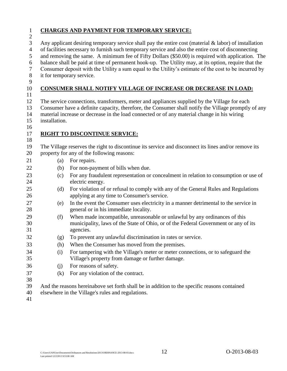<span id="page-15-2"></span><span id="page-15-1"></span><span id="page-15-0"></span>

| $\mathbf{1}$<br>$\mathbf{2}$                                                         |               | <b>CHARGES AND PAYMENT FOR TEMPORARY SERVICE:</b>                                                                                                                                                                                                                                                                                                                                                                                                                                                                                                                  |
|--------------------------------------------------------------------------------------|---------------|--------------------------------------------------------------------------------------------------------------------------------------------------------------------------------------------------------------------------------------------------------------------------------------------------------------------------------------------------------------------------------------------------------------------------------------------------------------------------------------------------------------------------------------------------------------------|
| $\mathfrak{Z}$<br>$\overline{4}$<br>$\mathfrak{S}$<br>6<br>$\boldsymbol{7}$<br>$8\,$ |               | Any applicant desiring temporary service shall pay the entire cost (material $\&$ labor) of installation<br>of facilities necessary to furnish such temporary service and also the entire cost of disconnecting<br>and removing the same. A minimum fee of Fifty Dollars (\$50.00) is required with application. The<br>balance shall be paid at time of permanent hook-up. The Utility may, at its option, require that the<br>Consumer deposit with the Utility a sum equal to the Utility's estimate of the cost to be incurred by<br>it for temporary service. |
| 9<br>10                                                                              |               | CONSUMER SHALL NOTIFY VILLAGE OF INCREASE OR DECREASE IN LOAD:                                                                                                                                                                                                                                                                                                                                                                                                                                                                                                     |
| 11                                                                                   |               |                                                                                                                                                                                                                                                                                                                                                                                                                                                                                                                                                                    |
| 12<br>13<br>14<br>15<br>16                                                           | installation. | The service connections, transformers, meter and appliances supplied by the Village for each<br>Consumer have a definite capacity, therefore, the Consumer shall notify the Village promptly of any<br>material increase or decrease in the load connected or of any material change in his wiring                                                                                                                                                                                                                                                                 |
| 17                                                                                   |               | <b>RIGHT TO DISCONTINUE SERVICE:</b>                                                                                                                                                                                                                                                                                                                                                                                                                                                                                                                               |
| 18                                                                                   |               |                                                                                                                                                                                                                                                                                                                                                                                                                                                                                                                                                                    |
| 19<br>20                                                                             |               | The Village reserves the right to discontinue its service and disconnect its lines and/or remove its<br>property for any of the following reasons:                                                                                                                                                                                                                                                                                                                                                                                                                 |
| 21                                                                                   | (a)           | For repairs.                                                                                                                                                                                                                                                                                                                                                                                                                                                                                                                                                       |
|                                                                                      |               |                                                                                                                                                                                                                                                                                                                                                                                                                                                                                                                                                                    |
| 22                                                                                   | (b)           | For non-payment of bills when due.                                                                                                                                                                                                                                                                                                                                                                                                                                                                                                                                 |
| 23<br>24                                                                             | (c)           | For any fraudulent representation or concealment in relation to consumption or use of<br>electric energy.                                                                                                                                                                                                                                                                                                                                                                                                                                                          |
| 25<br>26                                                                             | (d)           | For violation of or refusal to comply with any of the General Rules and Regulations<br>applying at any time to Consumer's service.                                                                                                                                                                                                                                                                                                                                                                                                                                 |
| 27<br>28                                                                             | (e)           | In the event the Consumer uses electricity in a manner detrimental to the service in<br>general or in his immediate locality.                                                                                                                                                                                                                                                                                                                                                                                                                                      |
| 29<br>30<br>31                                                                       | (f)           | When made incompatible, unreasonable or unlawful by any ordinances of this<br>municipality, laws of the State of Ohio, or of the Federal Government or any of its<br>agencies.                                                                                                                                                                                                                                                                                                                                                                                     |
| 32                                                                                   | (g)           | To prevent any unlawful discrimination in rates or service.                                                                                                                                                                                                                                                                                                                                                                                                                                                                                                        |
| 33                                                                                   | (h)           | When the Consumer has moved from the premises.                                                                                                                                                                                                                                                                                                                                                                                                                                                                                                                     |
| 34                                                                                   | (i)           | For tampering with the Village's meter or meter connections, or to safeguard the                                                                                                                                                                                                                                                                                                                                                                                                                                                                                   |
| 35                                                                                   |               | Village's property from damage or further damage.                                                                                                                                                                                                                                                                                                                                                                                                                                                                                                                  |
| 36                                                                                   | (j)           | For reasons of safety.                                                                                                                                                                                                                                                                                                                                                                                                                                                                                                                                             |
| 37<br>38                                                                             | (k)           | For any violation of the contract.                                                                                                                                                                                                                                                                                                                                                                                                                                                                                                                                 |
| 39<br>40<br>41                                                                       |               | And the reasons hereinabove set forth shall be in addition to the specific reasons contained<br>elsewhere in the Village's rules and regulations.                                                                                                                                                                                                                                                                                                                                                                                                                  |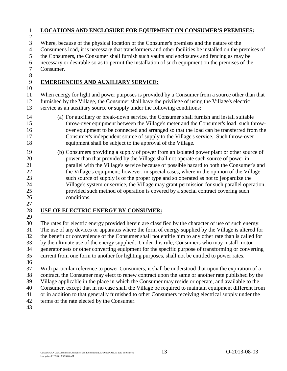#### <span id="page-16-0"></span>**LOCATIONS AND ENCLOSURE FOR EQUIPMENT ON CONSUMER'S PREMISES:**

Where, because of the physical location of the Consumer's premises and the nature of the

Consumer's load, it is necessary that transformers and other facilities be installed on the premises of

the Consumers, the Consumer shall furnish such vaults and enclosures and fencing as may be

necessary or desirable so as to permit the installation of such equipment on the premises of the

 Consumer. 

#### <span id="page-16-1"></span>**EMERGENCIES AND AUXILIARY SERVICE:**

 When energy for light and power purposes is provided by a Consumer from a source other than that furnished by the Village, the Consumer shall have the privilege of using the Village's electric service as an auxiliary source or supply under the following conditions:

- (a) For auxiliary or break-down service, the Consumer shall furnish and install suitable throw-over equipment between the Village's meter and the Consumer's load, such throw- over equipment to be connected and arranged so that the load can be transferred from the Consumer's independent source of supply to the Village's service. Such throw-over equipment shall be subject to the approval of the Village.
- (b) Consumers providing a supply of power from an isolated power plant or other source of power than that provided by the Village shall not operate such source of power in parallel with the Village's service because of possible hazard to both the Consumer's and 22 the Village's equipment; however, in special cases, where in the opinion of the Village such source of supply is of the proper type and so operated as not to jeopardize the Village's system or service, the Village may grant permission for such parallel operation, provided such method of operation is covered by a special contract covering such conditions.
- 

#### <span id="page-16-2"></span>**USE OF ELECTRIC ENERGY BY CONSUMER:**

 The rates for electric energy provided herein are classified by the character of use of such energy. The use of any devices or apparatus where the form of energy supplied by the Village is altered for the benefit or convenience of the Consumer shall not entitle him to any other rate than is called for by the ultimate use of the energy supplied. Under this rule, Consumers who may install motor generator sets or other converting equipment for the specific purpose of transforming or converting current from one form to another for lighting purposes, shall not be entitled to power rates.

 With particular reference to power Consumers, it shall be understood that upon the expiration of a contract, the Consumer may elect to renew contract upon the same or another rate published by the Village applicable in the place in which the Consumer may reside or operate, and available to the Consumer, except that in no case shall the Village be required to maintain equipment different from or in addition to that generally furnished to other Consumers receiving electrical supply under the terms of the rate elected by the Consumer.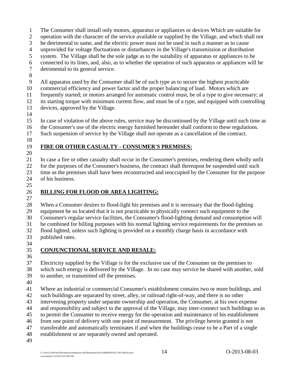- The Consumer shall install only motors, apparatus or appliances or devices Which are suitable for
- operation with the character of the service available or supplied by the Village, and which shall not
- be detrimental to same, and the electric power must not be used in such a manner as to cause
- unprovided for voltage fluctuations or disturbances in the Village's transmission or distribution
- system. The Village shall be the sole judge as to the suitability of apparatus or appliances to be
- connected to its lines, and, also, as to whether the operation of such apparatus or appliances will be

detrimental to its general service.

- 
- All apparatus used by the Consumer shall be of such type as to secure the highest practicable
- commercial efficiency and power factor and the proper balancing of load. Motors which are
- frequently started; or motors arranged for automatic control must, be of a type to give necessary; at
- its starting torque with minimum current flow, and must be of a type, and equipped with controlling devices, approved by the Village.
- 
- In case of violation of the above rules, service may be discontinued by the Village until such time as the Consumer's use of the electric energy furnished hereunder shall conform to these regulations.
- Such suspension of service by the Village shall not operate as a cancellation of the contract.
- 

### <span id="page-17-0"></span>**FIRE OR OTHER CASUALTY - CONSUMER'S PREMISES:**

- In case a fire or other casualty shall occur in the Consumer's premises, rendering them wholly unfit for the purposes of the Consumer's business, the contract shall thereupon be suspended until such time as the premises shall have been reconstructed and reoccupied by the Consumer for the purpose of his business.
- 

### <span id="page-17-1"></span>**BILLING FOR FLOOD OR AREA LIGHTING:**

 When a Consumer desires to flood-light his premises and it is necessary that the flood-lighting equipment be so located that it is not practicable to physically connect such equipment to the Consumer's regular service facilities, the Consumer's flood-lighting demand and consumption will be combined for billing purposes with his normal lighting service requirements for the premises so flood lighted, unless such lighting is provided on a monthly charge basis in accordance with published rates.

### <span id="page-17-2"></span>**CONJUNCTIONAL SERVICE AND RESALE:**

- 
- Electricity supplied by the Village is for the exclusive use of the Consumer on the premises to which such energy is delivered by the Village. In no case may service be shared with another, sold to another, or transmitted off the premises.
- 
- Where an industrial or commercial Consumer's establishment contains two or more buildings, and
- such buildings are separated by street, alley, or railroad right-of-way, and there is no other
- intervening property under separate ownership and operation, the Consumer, at his own expense
- and responsibility and subject to the approval of the Village, may inter-connect such buildings so as
- to permit the Consumer to receive energy for the operation and maintenance of his establishment
- from one point of delivery with one point of measurement. The privilege herein granted is not
- transferable and automatically terminates if and when the buildings cease to be a Part of a single
- establishment or are separately owned and operated.
-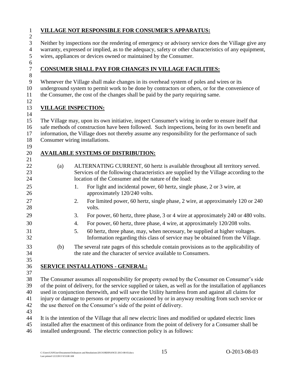#### <span id="page-18-0"></span>**VILLAGE NOT RESPONSIBLE FOR CONSUMER'S APPARATUS:**

 Neither by inspections nor the rendering of emergency or advisory service does the Village give any warranty, expressed or implied, as to the adequacy, safety or other characteristics of any equipment, wires, appliances or devices owned or maintained by the Consumer.

### <span id="page-18-1"></span>**CONSUMER SHALL PAY FOR CHANGES IN VILLAGE FACILITIES:**

- Whenever the Village shall make changes in its overhead system of poles and wires or its
- underground system to permit work to be done by contractors or others, or for the convenience of

the Consumer, the cost of the changes shall be paid by the party requiring same.

### <span id="page-18-2"></span>**VILLAGE INSPECTION:**

 The Village may, upon its own initiative, inspect Consumer's wiring in order to ensure itself that safe methods of construction have been followed. Such inspections, being for its own benefit and information, the Village does not thereby assume any responsibility for the performance of such Consumer wiring installations.

### <span id="page-18-3"></span>**AVAILABLE SYSTEMS OF DISTRIBUTION:**

- (a) ALTERNATING CURRENT, 60 hertz is available throughout all territory served. Services of the following characteristics are supplied by the Village according to the location of the Consumer and the nature of the load:
- 1. For light and incidental power, 60 hertz, single phase, 2 or 3 wire, at 26 approximately 120/240 volts.
- 2. For limited power, 60 hertz, single phase, 2 wire, at approximately 120 or 240 28 volts.
- 3. For power, 60 hertz, three phase, 3 or 4 wire at approximately 240 or 480 volts.
- 4. For power, 60 hertz, three phase, 4 wire, at approximately 120/208 volts.
- 5. 60 hertz, three phase, may, when necessary, be supplied at higher voltages. Information regarding this class of service may be obtained from the Village.
- (b) The several rate pages of this schedule contain provisions as to the applicability of the rate and the character of service available to Consumers.

### <span id="page-18-4"></span>**SERVICE INSTALLATIONS - GENERAL:**

 The Consumer assumes all responsibility for property owned by the Consumer on Consumer's side of the point of delivery, for the service supplied or taken, as well as for the installation of appliances used in conjunction therewith, and will save the Utility harmless from and against all claims for injury or damage to persons or property occasioned by or in anyway resulting from such service or the use thereof on the Consumer's side of the point of delivery.

It is the intention of the Village that all new electric lines and modified or updated electric lines

 installed after the enactment of this ordinance from the point of delivery for a Consumer shall be installed underground. The electric connection policy is as follows: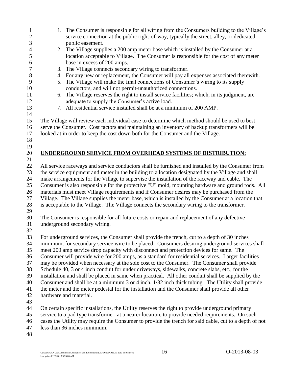<span id="page-19-0"></span>1. The Consumer is responsible for all wiring from the Consumers building to the Village's service connection at the public right-of-way, typically the street, alley, or dedicated public easement. 2. The Village supplies a 200 amp meter base which is installed by the Consumer at a location acceptable to Village. The Consumer is responsible for the cost of any meter base in excess of 200 amps. 3. The Village connects secondary wiring to transformer. 4. For any new or replacement, the Consumer will pay all expenses associated therewith. 5. The Village will make the final connections of Consumer's wiring to its supply conductors, and will not permit-unauthorized connections. 6. The Village reserves the right to install service facilities; which, in its judgment, are adequate to supply the Consumer's active load. 7. All residential service installed shall be at a minimum of 200 AMP. The Village will review each individual case to determine which method should be used to best serve the Consumer. Cost factors and maintaining an inventory of backup transformers will be looked at in order to keep the cost down both for the Consumer and the Village. **UNDERGROUND SERVICE FROM OVERHEAD SYSTEMS OF DISTRIBUTION:** All service raceways and service conductors shall be furnished and installed by the Consumer from the service equipment and meter in the building to a location designated by the Village and shall make arrangements for the Village to supervise the installation of the raceway and cable. The Consumer is also responsible for the protective "U" mold, mounting hardware and ground rods. All materials must meet Village requirements and if Consumer desires may be purchased from the Village. The Village supplies the meter base, which is installed by the Consumer at a location that is acceptable to the Village. The Village connects the secondary wiring to the transformer. The Consumer is responsible for all future costs or repair and replacement of any defective underground secondary wiring. For underground services, the Consumer shall provide the trench, cut to a depth of 30 inches minimum, for secondary service wire to be placed. Consumers desiring underground services shall meet 200 amp service drop capacity with disconnect and protection devices for same. The Consumer will provide wire for 200 amps, as a standard for residential services. Larger facilities may be provided when necessary at the sole cost to the Consumer. The Consumer shall provide Schedule 40, 3 or 4 inch conduit for under driveways, sidewalks, concrete slabs, etc., for the installation and shall be placed in same when practical. All other conduit shall be supplied by the Consumer and shall be at a minimum 3 or 4 inch, 1/32 inch thick tubing. The Utility shall provide the meter and the meter pedestal for the installation and the Consumer shall provide all other hardware and material. On certain specific installations, the Utility reserves the right to provide underground primary service to a pad type transformer, at a nearer location, to provide needed requirements. On such cases the Utility may require the Consumer to provide the trench for said cable, cut to a depth of not less than 36 inches minimum.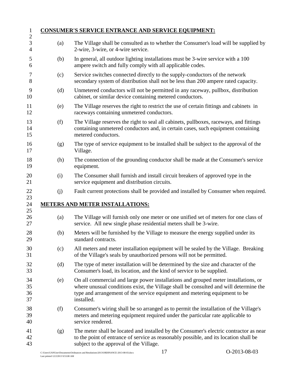<span id="page-20-1"></span><span id="page-20-0"></span>

|     | <b>CONSUMER'S SERVICE ENTRANCE AND SERVICE EQUIPMENT:</b>                                                                                                                                                                                                                |
|-----|--------------------------------------------------------------------------------------------------------------------------------------------------------------------------------------------------------------------------------------------------------------------------|
| (a) | The Village shall be consulted as to whether the Consumer's load will be supplied by<br>2-wire, 3-wire, or 4-wire service.                                                                                                                                               |
| (b) | In general, all outdoor lighting installations must be 3-wire service with a 100<br>ampere switch and fully comply with all applicable codes.                                                                                                                            |
| (c) | Service switches connected directly to the supply-conductors of the network<br>secondary system of distribution shall not be less than 200 ampere rated capacity.                                                                                                        |
| (d) | Unmetered conductors will not be permitted in any raceway, pullbox, distribution<br>cabinet, or similar device containing metered conductors.                                                                                                                            |
| (e) | The Village reserves the right to restrict the use of certain fittings and cabinets in<br>raceways containing unmetered conductors.                                                                                                                                      |
| (f) | The Village reserves the right to seal all cabinets, pullboxes, raceways, and fittings<br>containing unmetered conductors and, in certain cases, such equipment containing<br>metered conductors.                                                                        |
| (g) | The type of service equipment to be installed shall be subject to the approval of the<br>Village.                                                                                                                                                                        |
| (h) | The connection of the grounding conductor shall be made at the Consumer's service<br>equipment.                                                                                                                                                                          |
| (i) | The Consumer shall furnish and install circuit breakers of approved type in the<br>service equipment and distribution circuits.                                                                                                                                          |
| (j) | Fault current protections shall be provided and installed by Consumer when required.                                                                                                                                                                                     |
|     | <b>METERS AND METER INSTALLATIONS:</b>                                                                                                                                                                                                                                   |
| (a) | The Village will furnish only one meter or one unified set of meters for one class of<br>service. All new single phase residential meters shall be 3-wire.                                                                                                               |
| (b) | Meters will be furnished by the Village to measure the energy supplied under its<br>standard contracts.                                                                                                                                                                  |
| (c) | All meters and meter installation equipment will be sealed by the Village. Breaking<br>of the Village's seals by unauthorized persons will not be permitted.                                                                                                             |
| (d) | The type of meter installation will be determined by the size and character of the<br>Consumer's load, its location, and the kind of service to be supplied.                                                                                                             |
| (e) | On all commercial and large power installations and grouped meter installations, or<br>where unusual conditions exist, the Village shall be consulted and will determine the<br>type and arrangement of the service equipment and metering equipment to be<br>installed. |
| (f) | Consumer's wiring shall be so arranged as to permit the installation of the Village's<br>meters and metering equipment required under the particular rate applicable to<br>service rendered.                                                                             |
| (g) | The meter shall be located and installed by the Consumer's electric contractor as near<br>to the point of entrance of service as reasonably possible, and its location shall be<br>subject to the approval of the Village.                                               |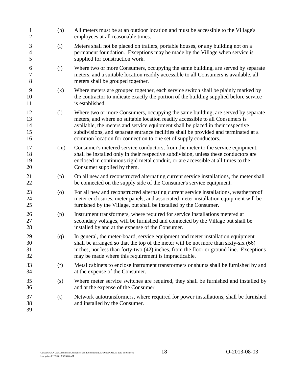| $\mathbf{1}$<br>$\overline{2}$     | (h) | All meters must be at an outdoor location and must be accessible to the Village's<br>employees at all reasonable times.                                                                                                                                                                                                                                                                                         |
|------------------------------------|-----|-----------------------------------------------------------------------------------------------------------------------------------------------------------------------------------------------------------------------------------------------------------------------------------------------------------------------------------------------------------------------------------------------------------------|
| 3<br>$\overline{\mathcal{A}}$<br>5 | (i) | Meters shall not be placed on trailers, portable houses, or any building not on a<br>permanent foundation. Exceptions may be made by the Village when service is<br>supplied for construction work.                                                                                                                                                                                                             |
| 6<br>7<br>8                        | (j) | Where two or more Consumers, occupying the same building, are served by separate<br>meters, and a suitable location readily accessible to all Consumers is available, all<br>meters shall be grouped together.                                                                                                                                                                                                  |
| 9<br>10<br>11                      | (k) | Where meters are grouped together, each service switch shall be plainly marked by<br>the contractor to indicate exactly the portion of the building supplied before service<br>is established.                                                                                                                                                                                                                  |
| 12<br>13<br>14<br>15<br>16         | (1) | Where two or more Consumers, occupying the same building, are served by separate<br>meters, and where no suitable location readily accessible to all Consumers is<br>available, the meters and service equipment shall be placed in their respective<br>subdivisions, and separate entrance facilities shall be provided and terminated at a<br>common location for connection to one set of supply conductors. |
| 17<br>18<br>19<br>20               | (m) | Consumer's metered service conductors, from the meter to the service equipment,<br>shall be installed only in their respective subdivision, unless these conductors are<br>enclosed in continuous rigid metal conduit, or are accessible at all times to the<br>Consumer supplied by them.                                                                                                                      |
| 21<br>22                           | (n) | On all new and reconstructed alternating current service installations, the meter shall<br>be connected on the supply side of the Consumer's service equipment.                                                                                                                                                                                                                                                 |
| 23<br>24<br>25                     | (0) | For all new and reconstructed alternating current service installations, weatherproof<br>meter enclosures, meter panels, and associated meter installation equipment will be<br>furnished by the Village, but shall be installed by the Consumer.                                                                                                                                                               |
| 26<br>27<br>28                     | (p) | Instrument transformers, where required for service installations metered at<br>secondary voltages, will be furnished and connected by the Village but shall be<br>installed by and at the expense of the Consumer.                                                                                                                                                                                             |
| 29<br>30<br>31<br>32               | (q) | In general, the meter-board, service equipment and meter installation equipment<br>shall be arranged so that the top of the meter will be not more than sixty-six (66)<br>inches, nor less than forty-two (42) inches, from the floor or ground line. Exceptions<br>may be made where this requirement is impracticable.                                                                                        |
| 33<br>34                           | (r) | Metal cabinets to enclose instrument transformers or shunts shall be furnished by and<br>at the expense of the Consumer.                                                                                                                                                                                                                                                                                        |
| 35<br>36                           | (s) | Where meter service switches are required, they shall be furnished and installed by<br>and at the expense of the Consumer.                                                                                                                                                                                                                                                                                      |
| 37<br>38<br>39                     | (t) | Network autotransformers, where required for power installations, shall be furnished<br>and installed by the Consumer.                                                                                                                                                                                                                                                                                          |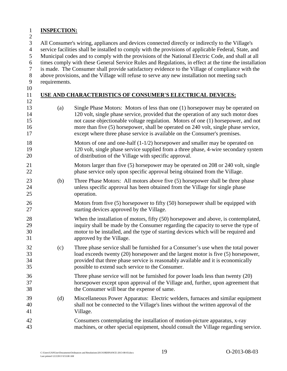#### <span id="page-22-0"></span>**INSPECTION:**

All Consumer's wiring, appliances and devices connected directly or indirectly to the Village's

service facilities shall be installed to comply with the provisions of applicable Federal, State, and

Municipal codes and to comply with the provisions of the National Electric Code, and shall at all

times comply with these General Service Rules and Regulations, in effect at the time the installation

is made. The Consumer shall provide satisfactory evidence to the Village of compliance with the

above provisions, and the Village will refuse to serve any new installation not meeting such

- requirements.
- 

### <span id="page-22-1"></span>**USE AND CHARACTERISTICS OF CONSUMER'S ELECTRICAL DEVICES:**

- (a) Single Phase Motors: Motors of less than one (1) horsepower may be operated on 120 volt, single phase service, provided that the operation of any such motor does not cause objectionable voltage regulation. Motors of one (1) horsepower, and not more than five (5) horsepower, shall be operated on 240 volt, single phase service, except where three phase service is available on the Consumer's premises.
- Motors of one and one-half (1-1/2) horsepower and smaller may be operated on 120 volt, single phase service supplied from a three phase, 4-wire secondary system of distribution of the Village with specific approval.
- Motors larger than five (5) horsepower may be operated on 208 or 240 volt, single phase service only upon specific approval being obtained from the Village.
- (b) Three Phase Motors: All motors above five (5) horsepower shall be three phase unless specific approval has been obtained from the Village for single phase operation.
- 26 Motors from five (5) horsepower to fifty (50) horsepower shall be equipped with starting devices approved by the Village.
- When the installation of motors, fifty (50) horsepower and above, is contemplated, inquiry shall be made by the Consumer regarding the capacity to serve the type of motor to be installed, and the type of starting devices which will be required and approved by the Village.
- (c) Three phase service shall be furnished for a Consumer's use when the total power load exceeds twenty (20) horsepower and the largest motor is five (5) horsepower, provided that three phase service is reasonably available and it is economically possible to extend such service to the Consumer.
- Three phase service will not be furnished for power loads less than twenty (20) horsepower except upon approval of the Village and, further, upon agreement that the Consumer will bear the expense of same.
- (d) Miscellaneous Power Apparatus: Electric welders, furnaces and similar equipment shall not be connected to the Village's lines without the written approval of the Village.
- Consumers contemplating the installation of motion-picture apparatus, x-ray machines, or other special equipment, should consult the Village regarding service.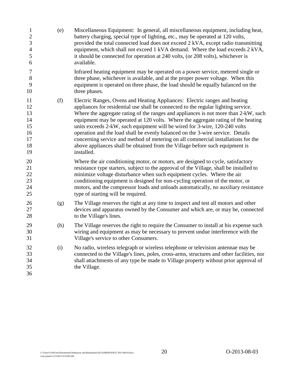(e) Miscellaneous Equipment: In general, all miscellaneous equipment, including heat, 2 battery charging, special type of lighting, etc., may be operated at 120 volts, provided the total connected load does not exceed 2 kVA, except radio transmitting equipment, which shall not exceed 1 kVA demand. Where the load exceeds 2 kVA, it should be connected for operation at 240 volts, (or 208 volts), whichever is available. Infrared heating equipment may be operated on a power service, metered single or three phase, whichever is available, and at the proper power voltage. When this equipment is operated on three phase, the load should be equally balanced on the 10 three phases. (f) Electric Ranges, Ovens and Heating Appliances: Electric ranges and heating appliances for residential use shall be connected to the regular lighting service. 13 Where the aggregate rating of the ranges and appliances is not more than 2-kW, such equipment may be operated at 120 volts. Where the aggregate rating of the heating units exceeds 2-kW, such equipment will be wired for 3-wire, 120-240 volts operation and the load shall be evenly balanced on the 3-wire service. Details concerning service and method of metering on all commercial installations for the above appliances shall be obtained from the Village before such equipment is installed. Where the air conditioning motor, or motors, are designed to cycle, satisfactory resistance type starters, subject to the approval of the Village, shall be installed to minimize voltage disturbance when such equipment cycles. Where the air conditioning equipment is designed for non-cycling operation of the motor, or motors, and the compressor loads and unloads automatically, no auxiliary resistance 25 type of starting will be required. (g) The Village reserves the right at any time to inspect and test all motors and other devices and apparatus owned by the Consumer and which are, or may be, connected to the Village's lines. (h) The Village reserves the right to require the Consumer to install at his expense such wiring and equipment as may be necessary to prevent undue interference with the Village's service to other Consumers. (i) No radio, wireless telegraph or wireless telephone or television antennae may be connected to the Village's lines, poles, cross-arms, structures and other facilities, nor shall attachments of any type be made to Village property without prior approval of the Village.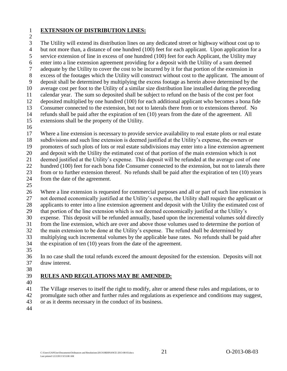### <span id="page-24-0"></span>**EXTENSION OF DISTRIBUTION LINES:**

 The Utility will extend its distribution lines on any dedicated street or highway without cost up to but not more than, a distance of one hundred (100) feet for each applicant. Upon application for a

service extension of line in excess of one hundred (100) feet for each Applicant, the Utility may

- enter into a line extension agreement providing for a deposit with the Utility of a sum deemed
- adequate by the Utility to cover the cost to be incurred by it for that portion of the extension in
- excess of the footages which the Utility will construct without cost to the applicant. The amount of
- deposit shall be determined by multiplying the excess footage as herein above determined by the
- average cost per foot to the Utility of a similar size distribution line installed during the preceding
- calendar year. The sum so deposited shall be subject to refund on the basis of the cost per foot
- deposited multiplied by one hundred (100) for each additional applicant who becomes a bona fide Consumer connected to the extension, but not to laterals there from or to extensions thereof. No
- refunds shall be paid after the expiration of ten (10) years from the date of the agreement. All
- extensions shall be the property of the Utility.
- 

 Where a line extension is necessary to provide service availability to real estate plots or real estate subdivisions and such line extension is deemed justified at the Utility's expense, the owners or promoters of such plots of lots or real estate subdivisions may enter into a line extension agreement and deposit with the Utility the estimated cost of that portion of the main extension which is not deemed justified at the Utility's expense. This deposit will be refunded at the average cost of one hundred (100) feet for each bona fide Consumer connected to the extension, but not to laterals there from or to further extension thereof. No refunds shall be paid after the expiration of ten (10) years from the date of the agreement.

 Where a line extension is requested for commercial purposes and all or part of such line extension is not deemed economically justified at the Utility's expense, the Utility shall require the applicant or applicants to enter into a line extension agreement and deposit with the Utility the estimated cost of that portion of the line extension which is not deemed economically justified at the Utility's expense. This deposit will be refunded annually, based upon the incremental volumes sold directly from the line extension, which are over and above those volumes used to determine the portion of the main extension to be done at the Utility's expense. The refund shall be determined by multiplying such incremental volumes by the applicable base rates. No refunds shall be paid after the expiration of ten (10) years from the date of the agreement.

 In no case shall the total refunds exceed the amount deposited for the extension. Deposits will not draw interest.

### <span id="page-24-1"></span>**RULES AND REGULATIONS MAY BE AMENDED:**

 The Village reserves to itself the right to modify, alter or amend these rules and regulations, or to promulgate such other and further rules and regulations as experience and conditions may suggest, or as it deems necessary in the conduct of its business.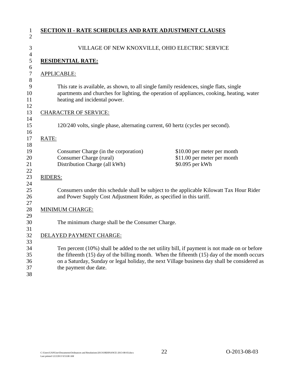<span id="page-25-1"></span><span id="page-25-0"></span>

| $\mathbf{1}$          | <b>SECTION II - RATE SCHEDULES AND RATE ADJUSTMENT CLAUSES</b>                                                                                                                                                                                                                                    |
|-----------------------|---------------------------------------------------------------------------------------------------------------------------------------------------------------------------------------------------------------------------------------------------------------------------------------------------|
| $\overline{2}$        |                                                                                                                                                                                                                                                                                                   |
| 3<br>$\overline{4}$   | VILLAGE OF NEW KNOXVILLE, OHIO ELECTRIC SERVICE                                                                                                                                                                                                                                                   |
| 5                     | <b>RESIDENTIAL RATE:</b>                                                                                                                                                                                                                                                                          |
| 6<br>$\boldsymbol{7}$ | APPLICABLE:                                                                                                                                                                                                                                                                                       |
| 8<br>9<br>10<br>11    | This rate is available, as shown, to all single family residences, single flats, single<br>apartments and churches for lighting, the operation of appliances, cooking, heating, water<br>heating and incidental power.                                                                            |
| 12<br>13              | <b>CHARACTER OF SERVICE:</b>                                                                                                                                                                                                                                                                      |
| 14<br>15<br>16        | 120/240 volts, single phase, alternating current, 60 hertz (cycles per second).                                                                                                                                                                                                                   |
| 17<br>18              | RATE:                                                                                                                                                                                                                                                                                             |
| 19<br>20<br>21<br>22  | Consumer Charge (in the corporation)<br>\$10.00 per meter per month<br>Consumer Charge (rural)<br>\$11.00 per meter per month<br>Distribution Charge (all kWh)<br>\$0.095 per kWh                                                                                                                 |
| 23<br>24              | <b>RIDERS:</b>                                                                                                                                                                                                                                                                                    |
| 25<br>26<br>27        | Consumers under this schedule shall be subject to the applicable Kilowatt Tax Hour Rider<br>and Power Supply Cost Adjustment Rider, as specified in this tariff.                                                                                                                                  |
| 28<br>29              | <b>MINIMUM CHARGE:</b>                                                                                                                                                                                                                                                                            |
| 30<br>31              | The minimum charge shall be the Consumer Charge.                                                                                                                                                                                                                                                  |
| 32<br>33              | DELAYED PAYMENT CHARGE:                                                                                                                                                                                                                                                                           |
| 34<br>35<br>36        | Ten percent (10%) shall be added to the net utility bill, if payment is not made on or before<br>the fifteenth $(15)$ day of the billing month. When the fifteenth $(15)$ day of the month occurs<br>on a Saturday, Sunday or legal holiday, the next Village business day shall be considered as |
| 37<br>38              | the payment due date.                                                                                                                                                                                                                                                                             |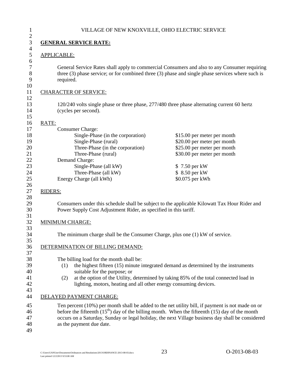<span id="page-26-0"></span>

|                                                                                                                                                 | VILLAGE OF NEW KNOXVILLE, OHIO ELECTRIC SERVICE                                                                                                                                                                                                                                                          |
|-------------------------------------------------------------------------------------------------------------------------------------------------|----------------------------------------------------------------------------------------------------------------------------------------------------------------------------------------------------------------------------------------------------------------------------------------------------------|
| <b>GENERAL SERVICE RATE:</b>                                                                                                                    |                                                                                                                                                                                                                                                                                                          |
| <b>APPLICABLE:</b>                                                                                                                              |                                                                                                                                                                                                                                                                                                          |
| required.                                                                                                                                       | General Service Rates shall apply to commercial Consumers and also to any Consumer requiring<br>three (3) phase service; or for combined three (3) phase and single phase services where such is                                                                                                         |
| <b>CHARACTER OF SERVICE:</b>                                                                                                                    |                                                                                                                                                                                                                                                                                                          |
| (cycles per second).                                                                                                                            | 120/240 volts single phase or three phase, 277/480 three phase alternating current 60 hertz                                                                                                                                                                                                              |
| RATE:                                                                                                                                           |                                                                                                                                                                                                                                                                                                          |
| <b>Consumer Charge:</b><br>Single-Phase (in the corporation)<br>Single-Phase (rural)<br>Three-Phase (in the corporation)<br>Three-Phase (rural) | \$15.00 per meter per month<br>\$20.00 per meter per month<br>\$25.00 per meter per month<br>\$30.00 per meter per month                                                                                                                                                                                 |
| Demand Charge:<br>Single-Phase (all kW)<br>Three-Phase (all kW)<br>Energy Charge (all kWh)                                                      | \$7.50 per kW<br>\$ 8.50 per kW<br>\$0.075 per kWh                                                                                                                                                                                                                                                       |
| <b>RIDERS:</b>                                                                                                                                  |                                                                                                                                                                                                                                                                                                          |
|                                                                                                                                                 | Consumers under this schedule shall be subject to the applicable Kilowatt Tax Hour Rider and<br>Power Supply Cost Adjustment Rider, as specified in this tariff.                                                                                                                                         |
| <b>MINIMUM CHARGE:</b>                                                                                                                          |                                                                                                                                                                                                                                                                                                          |
|                                                                                                                                                 | The minimum charge shall be the Consumer Charge, plus one (1) kW of service.                                                                                                                                                                                                                             |
| DETERMINATION OF BILLING DEMAND:                                                                                                                |                                                                                                                                                                                                                                                                                                          |
| The billing load for the month shall be:<br>(1)<br>suitable for the purpose; or<br>(2)                                                          | the highest fifteen (15) minute integrated demand as determined by the instruments<br>at the option of the Utility, determined by taking 85% of the total connected load in<br>lighting, motors, heating and all other energy consuming devices.                                                         |
| DELAYED PAYMENT CHARGE:                                                                                                                         |                                                                                                                                                                                                                                                                                                          |
| as the payment due date.                                                                                                                        | Ten percent (10%) per month shall be added to the net utility bill, if payment is not made on or<br>before the fifteenth $(15th)$ day of the billing month. When the fifteenth (15) day of the month<br>occurs on a Saturday, Sunday or legal holiday, the next Village business day shall be considered |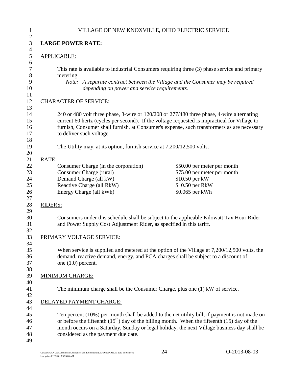<span id="page-27-0"></span>

|                | VILLAGE OF NEW KNOXVILLE, OHIO ELECTRIC SERVICE                                                                                                                                                                                                                                                                     |                                                                                                                    |
|----------------|---------------------------------------------------------------------------------------------------------------------------------------------------------------------------------------------------------------------------------------------------------------------------------------------------------------------|--------------------------------------------------------------------------------------------------------------------|
|                | <b>LARGE POWER RATE:</b>                                                                                                                                                                                                                                                                                            |                                                                                                                    |
|                | <b>APPLICABLE:</b>                                                                                                                                                                                                                                                                                                  |                                                                                                                    |
|                | This rate is available to industrial Consumers requiring three (3) phase service and primary<br>metering.<br>depending on power and service requirements.                                                                                                                                                           | Note: A separate contract between the Village and the Consumer may be required                                     |
|                | <b>CHARACTER OF SERVICE:</b>                                                                                                                                                                                                                                                                                        |                                                                                                                    |
|                | 240 or 480 volt three phase, 3-wire or 120/208 or 277/480 three phase, 4-wire alternating<br>current 60 hertz (cycles per second). If the voltage requested is impractical for Village to<br>furnish, Consumer shall furnish, at Consumer's expense, such transformers as are necessary<br>to deliver such voltage. |                                                                                                                    |
|                | The Utility may, at its option, furnish service at 7,200/12,500 volts.                                                                                                                                                                                                                                              |                                                                                                                    |
| RATE:          |                                                                                                                                                                                                                                                                                                                     |                                                                                                                    |
|                | Consumer Charge (in the corporation)<br>Consumer Charge (rural)<br>Demand Charge (all kW)<br>Reactive Charge (all RkW)<br>Energy Charge (all kWh)                                                                                                                                                                   | \$50.00 per meter per month<br>\$75.00 per meter per month<br>\$10.50 per kW<br>\$ 0.50 per RkW<br>\$0.065 per kWh |
| <b>RIDERS:</b> |                                                                                                                                                                                                                                                                                                                     |                                                                                                                    |
|                | Consumers under this schedule shall be subject to the applicable Kilowatt Tax Hour Rider<br>and Power Supply Cost Adjustment Rider, as specified in this tariff.                                                                                                                                                    |                                                                                                                    |
|                | PRIMARY VOLTAGE SERVICE:                                                                                                                                                                                                                                                                                            |                                                                                                                    |
|                | When service is supplied and metered at the option of the Village at 7,200/12,500 volts, the<br>demand, reactive demand, energy, and PCA charges shall be subject to a discount of<br>one $(1.0)$ percent.                                                                                                          |                                                                                                                    |
|                | <b>MINIMUM CHARGE:</b>                                                                                                                                                                                                                                                                                              |                                                                                                                    |
|                | The minimum charge shall be the Consumer Charge, plus one (1) kW of service.                                                                                                                                                                                                                                        |                                                                                                                    |
|                | DELAYED PAYMENT CHARGE:                                                                                                                                                                                                                                                                                             |                                                                                                                    |
|                | Ten percent (10%) per month shall be added to the net utility bill, if payment is not made on<br>or before the fifteenth $(15^{th})$ day of the billing month. When the fifteenth (15) day of the                                                                                                                   | month occurs on a Saturday, Sunday or legal holiday, the next Village business day shall be                        |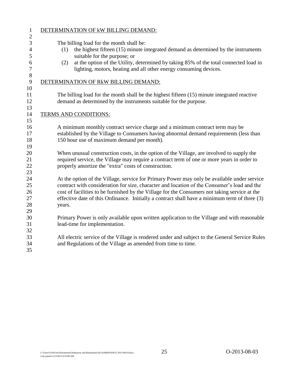|            | DETERMINATION OF kW BILLING DEMAND:                                                                                                                                                                                                                                                                                                                                                          |
|------------|----------------------------------------------------------------------------------------------------------------------------------------------------------------------------------------------------------------------------------------------------------------------------------------------------------------------------------------------------------------------------------------------|
| (1)<br>(2) | The billing load for the month shall be:<br>the highest fifteen (15) minute integrated demand as determined by the instruments<br>suitable for the purpose; or<br>at the option of the Utility, determined by taking 85% of the total connected load in<br>lighting, motors, heating and all other energy consuming devices.                                                                 |
|            | DETERMINATION OF RkW BILLING DEMAND:                                                                                                                                                                                                                                                                                                                                                         |
|            | The billing load for the month shall be the highest fifteen (15) minute integrated reactive<br>demand as determined by the instruments suitable for the purpose.                                                                                                                                                                                                                             |
|            | <b>TERMS AND CONDITIONS:</b>                                                                                                                                                                                                                                                                                                                                                                 |
|            | A minimum monthly contract service charge and a minimum contract term may be<br>established by the Village to Consumers having abnormal demand requirements (less than<br>150 hour use of maximum demand per month).                                                                                                                                                                         |
|            | When unusual construction costs, in the option of the Village, are involved to supply the<br>required service, the Village may require a contract term of one or more years in order to<br>properly amortize the "extra" costs of construction.                                                                                                                                              |
| years.     | At the option of the Village, service for Primary Power may only be available under service<br>contract with consideration for size, character and location of the Consumer's load and the<br>cost of facilities to be furnished by the Village for the Consumers not taking service at the<br>effective date of this Ordinance. Initially a contract shall have a minimum term of three (3) |
|            | Primary Power is only available upon written application to the Village and with reasonable<br>lead-time for implementation.                                                                                                                                                                                                                                                                 |
|            | All electric service of the Village is rendered under and subject to the General Service Rules<br>and Regulations of the Village as amended from time to time.                                                                                                                                                                                                                               |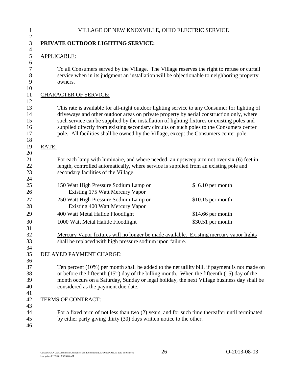<span id="page-29-0"></span>

|                    | PRIVATE OUTDOOR LIGHTING SERVICE:                                                                                                                                                                                                                                                                                                                                                                                                                                             |                    |
|--------------------|-------------------------------------------------------------------------------------------------------------------------------------------------------------------------------------------------------------------------------------------------------------------------------------------------------------------------------------------------------------------------------------------------------------------------------------------------------------------------------|--------------------|
| <b>APPLICABLE:</b> |                                                                                                                                                                                                                                                                                                                                                                                                                                                                               |                    |
|                    | To all Consumers served by the Village. The Village reserves the right to refuse or curtail<br>service when in its judgment an installation will be objectionable to neighboring property<br>owners.                                                                                                                                                                                                                                                                          |                    |
|                    | <b>CHARACTER OF SERVICE:</b>                                                                                                                                                                                                                                                                                                                                                                                                                                                  |                    |
|                    | This rate is available for all-night outdoor lighting service to any Consumer for lighting of<br>driveways and other outdoor areas on private property by aerial construction only, where<br>such service can be supplied by the installation of lighting fixtures or existing poles and<br>supplied directly from existing secondary circuits on such poles to the Consumers center<br>pole. All facilities shall be owned by the Village, except the Consumers center pole. |                    |
| RATE:              |                                                                                                                                                                                                                                                                                                                                                                                                                                                                               |                    |
|                    | For each lamp with luminaire, and where needed, an upsweep arm not over six (6) feet in<br>length, controlled automatically, where service is supplied from an existing pole and<br>secondary facilities of the Village.                                                                                                                                                                                                                                                      |                    |
|                    | 150 Watt High Pressure Sodium Lamp or<br>Existing 175 Watt Mercury Vapor                                                                                                                                                                                                                                                                                                                                                                                                      | $$6.10$ per month  |
|                    | 250 Watt High Pressure Sodium Lamp or<br>Existing 400 Watt Mercury Vapor                                                                                                                                                                                                                                                                                                                                                                                                      | $$10.15$ per month |
|                    | 400 Watt Metal Halide Floodlight                                                                                                                                                                                                                                                                                                                                                                                                                                              | $$14.66$ per month |
|                    | 1000 Watt Metal Halide Floodlight                                                                                                                                                                                                                                                                                                                                                                                                                                             | \$30.51 per month  |
|                    | Mercury Vapor fixtures will no longer be made available. Existing mercury vapor lights<br>shall be replaced with high pressure sodium upon failure.                                                                                                                                                                                                                                                                                                                           |                    |
|                    | DELAYED PAYMENT CHARGE:                                                                                                                                                                                                                                                                                                                                                                                                                                                       |                    |
|                    | Ten percent (10%) per month shall be added to the net utility bill, if payment is not made on<br>or before the fifteenth $(15th)$ day of the billing month. When the fifteenth (15) day of the<br>month occurs on a Saturday, Sunday or legal holiday, the next Village business day shall be<br>considered as the payment due date.                                                                                                                                          |                    |
|                    | TERMS OF CONTRACT:                                                                                                                                                                                                                                                                                                                                                                                                                                                            |                    |
|                    | For a fixed term of not less than two $(2)$ years, and for such time thereafter until terminated                                                                                                                                                                                                                                                                                                                                                                              |                    |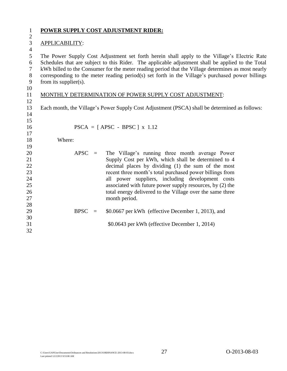<span id="page-30-0"></span>

| $\mathbf{1}$     | <b>POWER SUPPLY COST ADJUSTMENT RIDER:</b>                                                         |                                                           |  |  |  |  |
|------------------|----------------------------------------------------------------------------------------------------|-----------------------------------------------------------|--|--|--|--|
| $\boldsymbol{2}$ |                                                                                                    |                                                           |  |  |  |  |
| $\mathfrak{Z}$   | APPLICABILITY:                                                                                     |                                                           |  |  |  |  |
| $\overline{4}$   |                                                                                                    |                                                           |  |  |  |  |
| 5                | The Power Supply Cost Adjustment set forth herein shall apply to the Village's Electric Rate       |                                                           |  |  |  |  |
| 6                | Schedules that are subject to this Rider. The applicable adjustment shall be applied to the Total  |                                                           |  |  |  |  |
| $\boldsymbol{7}$ | kWh billed to the Consumer for the meter reading period that the Village determines as most nearly |                                                           |  |  |  |  |
| $8\,$            | corresponding to the meter reading period(s) set forth in the Village's purchased power billings   |                                                           |  |  |  |  |
| 9                | from its supplier(s).                                                                              |                                                           |  |  |  |  |
| 10               |                                                                                                    |                                                           |  |  |  |  |
| 11               |                                                                                                    | MONTHLY DETERMINATION OF POWER SUPPLY COST ADJUSTMENT:    |  |  |  |  |
| 12               |                                                                                                    |                                                           |  |  |  |  |
| 13               | Each month, the Village's Power Supply Cost Adjustment (PSCA) shall be determined as follows:      |                                                           |  |  |  |  |
| 14               |                                                                                                    |                                                           |  |  |  |  |
| 15<br>16         |                                                                                                    | $PSCA = [APSC - BPSC] \times 1.12$                        |  |  |  |  |
| 17               |                                                                                                    |                                                           |  |  |  |  |
| 18               | Where:                                                                                             |                                                           |  |  |  |  |
| 19               |                                                                                                    |                                                           |  |  |  |  |
| 20               | $APSC =$                                                                                           | The Village's running three month average Power           |  |  |  |  |
| 21               |                                                                                                    | Supply Cost per kWh, which shall be determined to 4       |  |  |  |  |
| 22               |                                                                                                    | decimal places by dividing (1) the sum of the most        |  |  |  |  |
| 23               |                                                                                                    | recent three month's total purchased power billings from  |  |  |  |  |
| 24               |                                                                                                    | all power suppliers, including development costs          |  |  |  |  |
| 25               |                                                                                                    | associated with future power supply resources, by (2) the |  |  |  |  |
| 26               |                                                                                                    | total energy delivered to the Village over the same three |  |  |  |  |
| 27               |                                                                                                    | month period.                                             |  |  |  |  |
| 28               |                                                                                                    |                                                           |  |  |  |  |
| 29               | <b>BPSC</b><br>$\equiv$                                                                            | \$0.0667 per kWh (effective December 1, 2013), and        |  |  |  |  |
| 30               |                                                                                                    |                                                           |  |  |  |  |
| 31               |                                                                                                    | \$0.0643 per kWh (effective December 1, 2014)             |  |  |  |  |

<span id="page-30-1"></span>\$0.0643 per kWh (effective December 1, 2014)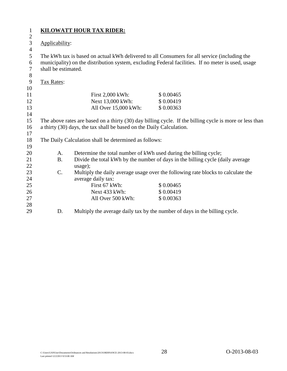| $\mathbf 1$    |                                                                                                                                                                                 | <b>KILOWATT HOUR TAX RIDER:</b>                                                  |                                                                            |  |  |  |  |  |
|----------------|---------------------------------------------------------------------------------------------------------------------------------------------------------------------------------|----------------------------------------------------------------------------------|----------------------------------------------------------------------------|--|--|--|--|--|
| $\mathbf{2}$   |                                                                                                                                                                                 |                                                                                  |                                                                            |  |  |  |  |  |
| $\mathfrak{Z}$ | Applicability:                                                                                                                                                                  |                                                                                  |                                                                            |  |  |  |  |  |
| $\overline{4}$ |                                                                                                                                                                                 |                                                                                  |                                                                            |  |  |  |  |  |
| 5              | The kWh tax is based on actual kWh delivered to all Consumers for all service (including the                                                                                    |                                                                                  |                                                                            |  |  |  |  |  |
| 6<br>$\tau$    | municipality) on the distribution system, excluding Federal facilities. If no meter is used, usage<br>shall be estimated.                                                       |                                                                                  |                                                                            |  |  |  |  |  |
|                |                                                                                                                                                                                 |                                                                                  |                                                                            |  |  |  |  |  |
| 8              |                                                                                                                                                                                 |                                                                                  |                                                                            |  |  |  |  |  |
| 9<br>10        | <b>Tax Rates:</b>                                                                                                                                                               |                                                                                  |                                                                            |  |  |  |  |  |
| 11             |                                                                                                                                                                                 | First 2,000 kWh:                                                                 | \$0.00465                                                                  |  |  |  |  |  |
| 12             |                                                                                                                                                                                 | Next 13,000 kWh:                                                                 | \$0.00419                                                                  |  |  |  |  |  |
| 13             |                                                                                                                                                                                 | All Over 15,000 kWh:                                                             | \$0.00363                                                                  |  |  |  |  |  |
| 14             |                                                                                                                                                                                 |                                                                                  |                                                                            |  |  |  |  |  |
| 15             |                                                                                                                                                                                 |                                                                                  |                                                                            |  |  |  |  |  |
| 16             | The above rates are based on a thirty (30) day billing cycle. If the billing cycle is more or less than<br>a thirty (30) days, the tax shall be based on the Daily Calculation. |                                                                                  |                                                                            |  |  |  |  |  |
| 17             |                                                                                                                                                                                 |                                                                                  |                                                                            |  |  |  |  |  |
| 18             |                                                                                                                                                                                 | The Daily Calculation shall be determined as follows:                            |                                                                            |  |  |  |  |  |
| 19             |                                                                                                                                                                                 |                                                                                  |                                                                            |  |  |  |  |  |
| 20             | A.                                                                                                                                                                              | Determine the total number of kWh used during the billing cycle;                 |                                                                            |  |  |  |  |  |
| 21             | <b>B.</b>                                                                                                                                                                       | Divide the total kWh by the number of days in the billing cycle (daily average   |                                                                            |  |  |  |  |  |
| 22             |                                                                                                                                                                                 | usage);                                                                          |                                                                            |  |  |  |  |  |
| 23             | C.                                                                                                                                                                              | Multiply the daily average usage over the following rate blocks to calculate the |                                                                            |  |  |  |  |  |
| 24             |                                                                                                                                                                                 | average daily tax:                                                               |                                                                            |  |  |  |  |  |
| 25             |                                                                                                                                                                                 | First 67 kWh:                                                                    | \$0.00465                                                                  |  |  |  |  |  |
| 26             |                                                                                                                                                                                 | Next 433 kWh:                                                                    | \$0.00419                                                                  |  |  |  |  |  |
| 27             |                                                                                                                                                                                 | All Over 500 kWh:                                                                | \$0.00363                                                                  |  |  |  |  |  |
| 28             |                                                                                                                                                                                 |                                                                                  |                                                                            |  |  |  |  |  |
| 29             | D.                                                                                                                                                                              |                                                                                  | Multiply the average daily tax by the number of days in the billing cycle. |  |  |  |  |  |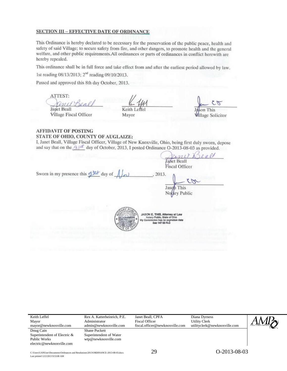#### **SECTION III - EFFECTIVE DATE OF ORDINANCE**

This Ordinance is hereby declared to be necessary for the preservation of the public peace, health and safety of said Village; to secure safety from fire, and other dangers, to promote health and the general welfare, and other public requirements. All ordinances or parts of ordinances in conflict herewith are hereby repealed.

This ordinance shall be in full force and take effect from and after the earliest period allowed by law.

1st reading 08/13/2013; 2<sup>nd</sup> reading 09/10/2013.

Passed and approved this 8th day October, 2013.

ATTEST:

**Janet Beall Village Fiscal Officer** 

Keith Leffel Mayor

 $75$ This

**Mlage Solicitor** 

**AFFIDAVIT OF POSTING** STATE OF OHIO, COUNTY OF AUGLAIZE:

I, Janet Beall, Village Fiscal Officer, Village of New Knoxville, Ohio, being first duly sworn, depose and say that on the  $\frac{A}{d}$  day of October, 2013, I posted Ordinance O-2013-08-03 as provided.

Janet Beall **Fiscal Officer** Sworn in my presence this of February of . 2013.  $\tilde{z}$ Jaso This Notary Public JASON E. THIS, Attorn **pc 147 03 R.C** 

| Keith Leffel                                                                                                                                                      | Rex A. Katterheinrich, P.E. | Janet Beall, CPFA               | Diana Dyrness                 |  |
|-------------------------------------------------------------------------------------------------------------------------------------------------------------------|-----------------------------|---------------------------------|-------------------------------|--|
| Mayor                                                                                                                                                             | Administrator               | <b>Fiscal Officer</b>           | <b>Utility Clerk</b>          |  |
| mayor@newknoxville.com                                                                                                                                            | admin@newknoxville.com      | fiscal.officer@newknoxville.com | utilityclerk@newknoxville.com |  |
| Doug Cain<br><b>Shane Puckett</b><br>Superintendent of Electric &<br>Superintendent of Water<br>wtp@newknoxville.com<br>Public Works<br>electric@newknoxville.com |                             |                                 |                               |  |